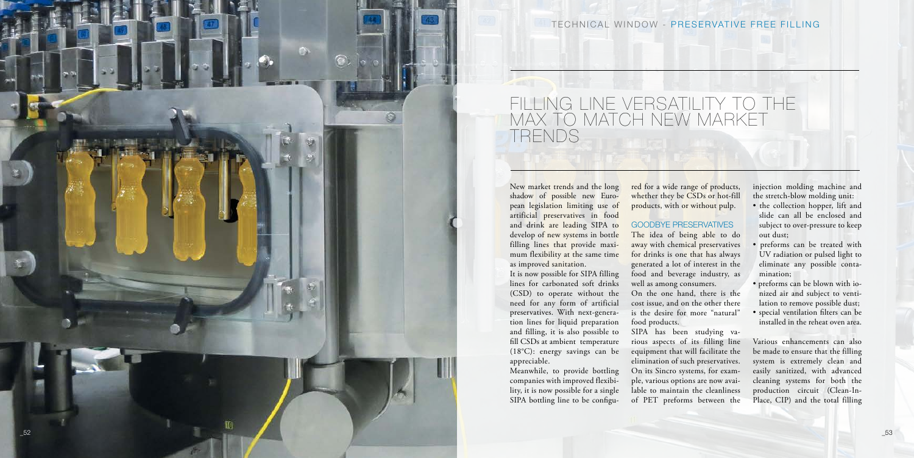

TECHNICAL WINDOW - PRESERVATIVE FREE FILLING

New market trends and the long shadow of possible new Euro pean legislation limiting use of artificial preservatives in food and drink are leading SIPA to develop of new systems in bottle filling lines that provide maxi mum flexibility at the same time as improved sanitation.

It is now possible for SIPA filling lines for carbonated soft drinks (CSD) to operate without the need for any form of artificial preservatives. With next-genera tion lines for liquid preparation and filling, it is also possible to fill CSDs at ambient temperature (18°C): energy savings can be appreciable.

Meanwhile, to provide bottling companies with improved flexibi lity, it is now possible for a single SIPA bottling line to be configu -

red for a wide range of products, whether they be CSDs or hot-fill products, with or without pulp.

#### GOODBYE PRESERVATIVES

The idea of being able to do away with chemical preservatives for drinks is one that has always generated a lot of interest in the food and beverage industry, as well as among consumers.

On the one hand, there is the cost issue, and on the other there is the desire for more "natural"

food products.

SIPA has been studying va rious aspects of its filling line equipment that will facilitate the elimination of such preservatives. On its Sincro systems, for exam ple, various options are now avai lable to maintain the cleanliness of PET preforms between the

injection molding machine and the stretch-blow molding unit:

- the collection hopper, lift and slide can all be enclosed and subject to over-pressure to keep out dust;
- preforms can be treated with UV radiation or pulsed light to eliminate any possible conta mination;
- preforms can be blown with io nized air and subject to venti lation to remove possible dust;
- special ventilation filters can be installed in the reheat oven area.

Various enhancements can also be made to ensure that the filling system is extremely clean and easily sanitized, with advanced cleaning systems for both the production circuit (Clean-In-Place, CIP) and the total filling

# FILLING LINE VERSATILITY TO THE MAX TO MATCH NEW MARKET TRENDS